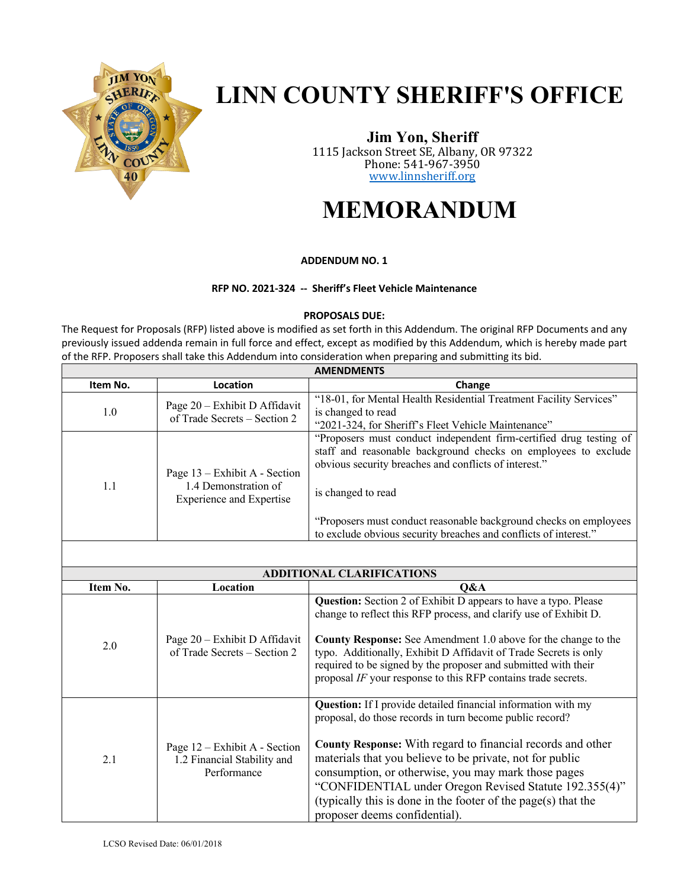

# **LINN COUNTY SHERIFF'S OFFICE**

**Jim Yon, Sheriff** 1115 Jackson Street SE, Albany, OR 97322 Phone: 541-967-3950 www.linnsheriff.org

## **MEMORANDUM**

#### **ADDENDUM NO. 1**

#### **RFP NO. 2021-324 -- Sheriff's Fleet Vehicle Maintenance**

#### **PROPOSALS DUE:**

The Request for Proposals (RFP) listed above is modified as set forth in this Addendum. The original RFP Documents and any previously issued addenda remain in full force and effect, except as modified by this Addendum, which is hereby made part of the RFP. Proposers shall take this Addendum into consideration when preparing and submitting its bid.

| <b>AMENDMENTS</b> |                                                                                          |                                                                                                                                                                                                                                                                                                                                                              |  |
|-------------------|------------------------------------------------------------------------------------------|--------------------------------------------------------------------------------------------------------------------------------------------------------------------------------------------------------------------------------------------------------------------------------------------------------------------------------------------------------------|--|
| Item No.          | Location                                                                                 | Change                                                                                                                                                                                                                                                                                                                                                       |  |
| 1.0               | Page 20 - Exhibit D Affidavit<br>of Trade Secrets - Section 2                            | "18-01, for Mental Health Residential Treatment Facility Services"<br>is changed to read<br>"2021-324, for Sheriff's Fleet Vehicle Maintenance"                                                                                                                                                                                                              |  |
| 1.1               | Page 13 – Exhibit A - Section<br>1.4 Demonstration of<br><b>Experience and Expertise</b> | "Proposers must conduct independent firm-certified drug testing of<br>staff and reasonable background checks on employees to exclude<br>obvious security breaches and conflicts of interest."<br>is changed to read<br>"Proposers must conduct reasonable background checks on employees<br>to exclude obvious security breaches and conflicts of interest." |  |

| <b>ADDITIONAL CLARIFICATIONS</b> |                                                                               |                                                                                                                                                                                                                                                                                                                                                                                                                                                                             |  |  |
|----------------------------------|-------------------------------------------------------------------------------|-----------------------------------------------------------------------------------------------------------------------------------------------------------------------------------------------------------------------------------------------------------------------------------------------------------------------------------------------------------------------------------------------------------------------------------------------------------------------------|--|--|
| Item No.                         | Location                                                                      | O&A                                                                                                                                                                                                                                                                                                                                                                                                                                                                         |  |  |
| 2.0                              | Page 20 – Exhibit D Affidavit<br>of Trade Secrets – Section 2                 | Question: Section 2 of Exhibit D appears to have a typo. Please<br>change to reflect this RFP process, and clarify use of Exhibit D.<br><b>County Response:</b> See Amendment 1.0 above for the change to the<br>typo. Additionally, Exhibit D Affidavit of Trade Secrets is only<br>required to be signed by the proposer and submitted with their<br>proposal IF your response to this RFP contains trade secrets.                                                        |  |  |
| 2.1                              | Page $12$ – Exhibit A - Section<br>1.2 Financial Stability and<br>Performance | Question: If I provide detailed financial information with my<br>proposal, do those records in turn become public record?<br>County Response: With regard to financial records and other<br>materials that you believe to be private, not for public<br>consumption, or otherwise, you may mark those pages<br>"CONFIDENTIAL under Oregon Revised Statute 192.355(4)"<br>(typically this is done in the footer of the page( $s$ ) that the<br>proposer deems confidential). |  |  |